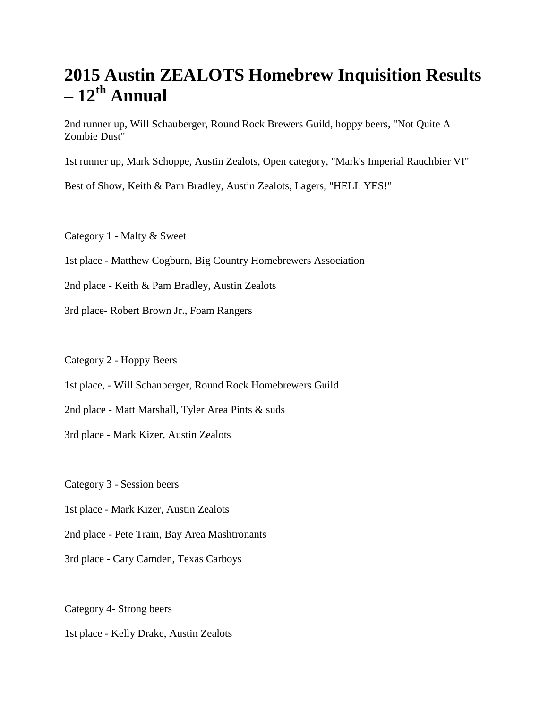## **2015 Austin ZEALOTS Homebrew Inquisition Results – 12th Annual**

2nd runner up, Will Schauberger, Round Rock Brewers Guild, hoppy beers, "Not Quite A Zombie Dust"

1st runner up, Mark Schoppe, Austin Zealots, Open category, "Mark's Imperial Rauchbier VI"

Best of Show, Keith & Pam Bradley, Austin Zealots, Lagers, "HELL YES!"

Category 1 - Malty & Sweet

- 1st place Matthew Cogburn, Big Country Homebrewers Association
- 2nd place Keith & Pam Bradley, Austin Zealots
- 3rd place- Robert Brown Jr., Foam Rangers

Category 2 - Hoppy Beers

- 1st place, Will Schanberger, Round Rock Homebrewers Guild
- 2nd place Matt Marshall, Tyler Area Pints & suds

3rd place - Mark Kizer, Austin Zealots

Category 3 - Session beers

- 1st place Mark Kizer, Austin Zealots
- 2nd place Pete Train, Bay Area Mashtronants
- 3rd place Cary Camden, Texas Carboys

Category 4- Strong beers

1st place - Kelly Drake, Austin Zealots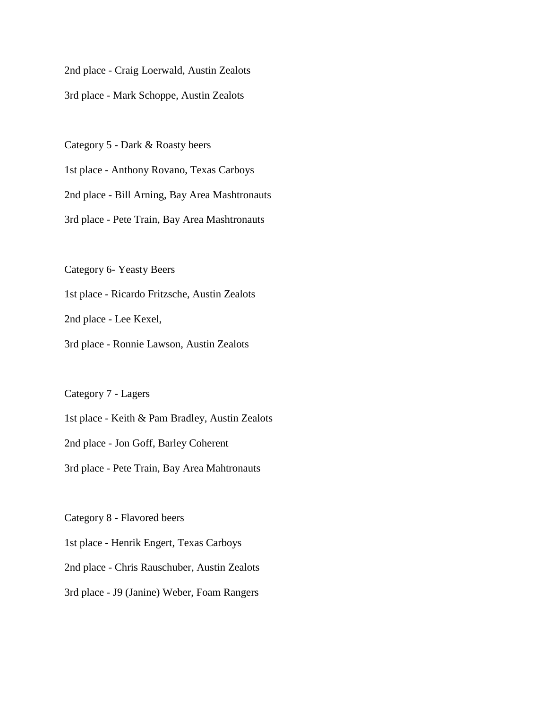2nd place - Craig Loerwald, Austin Zealots

3rd place - Mark Schoppe, Austin Zealots

Category 5 - Dark & Roasty beers

1st place - Anthony Rovano, Texas Carboys

2nd place - Bill Arning, Bay Area Mashtronauts

3rd place - Pete Train, Bay Area Mashtronauts

Category 6- Yeasty Beers

1st place - Ricardo Fritzsche, Austin Zealots

2nd place - Lee Kexel,

3rd place - Ronnie Lawson, Austin Zealots

Category 7 - Lagers

1st place - Keith & Pam Bradley, Austin Zealots

2nd place - Jon Goff, Barley Coherent

3rd place - Pete Train, Bay Area Mahtronauts

Category 8 - Flavored beers

1st place - Henrik Engert, Texas Carboys

2nd place - Chris Rauschuber, Austin Zealots

3rd place - J9 (Janine) Weber, Foam Rangers